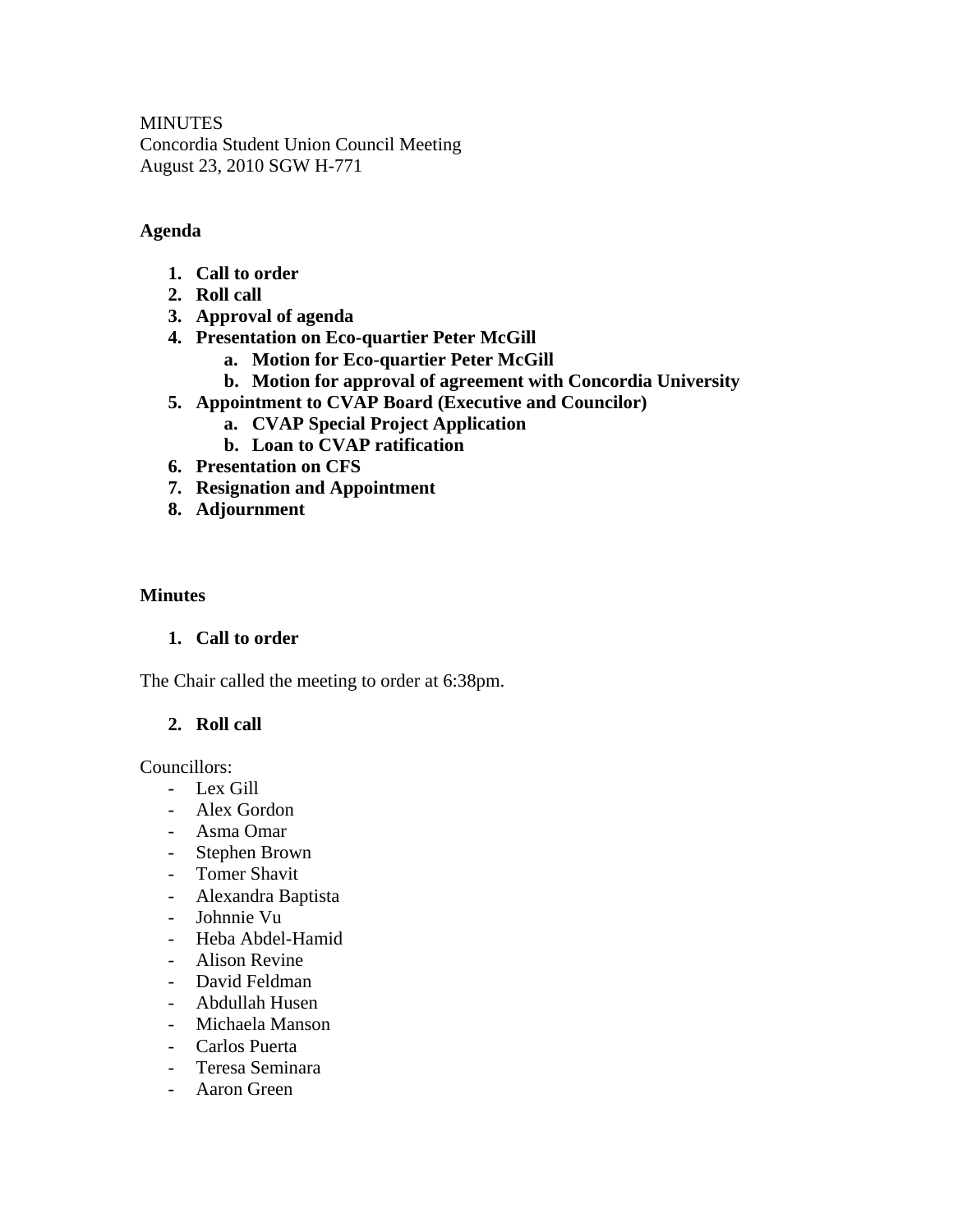**MINUTES** Concordia Student Union Council Meeting August 23, 2010 SGW H-771

## **Agenda**

- **1. Call to order**
- **2. Roll call**
- **3. Approval of agenda**
- **4. Presentation on Eco-quartier Peter McGill** 
	- **a. Motion for Eco-quartier Peter McGill**
	- **b. Motion for approval of agreement with Concordia University**
- **5. Appointment to CVAP Board (Executive and Councilor)** 
	- **a. CVAP Special Project Application**
	- **b. Loan to CVAP ratification**
- **6. Presentation on CFS**
- **7. Resignation and Appointment**
- **8. Adjournment**

#### **Minutes**

### **1. Call to order**

The Chair called the meeting to order at 6:38pm.

### **2. Roll call**

Councillors:

- Lex Gill
- Alex Gordon
- Asma Omar
- Stephen Brown
- Tomer Shavit
- Alexandra Baptista
- Johnnie Vu
- Heba Abdel-Hamid
- Alison Revine
- David Feldman
- Abdullah Husen
- Michaela Manson
- Carlos Puerta
- Teresa Seminara
- Aaron Green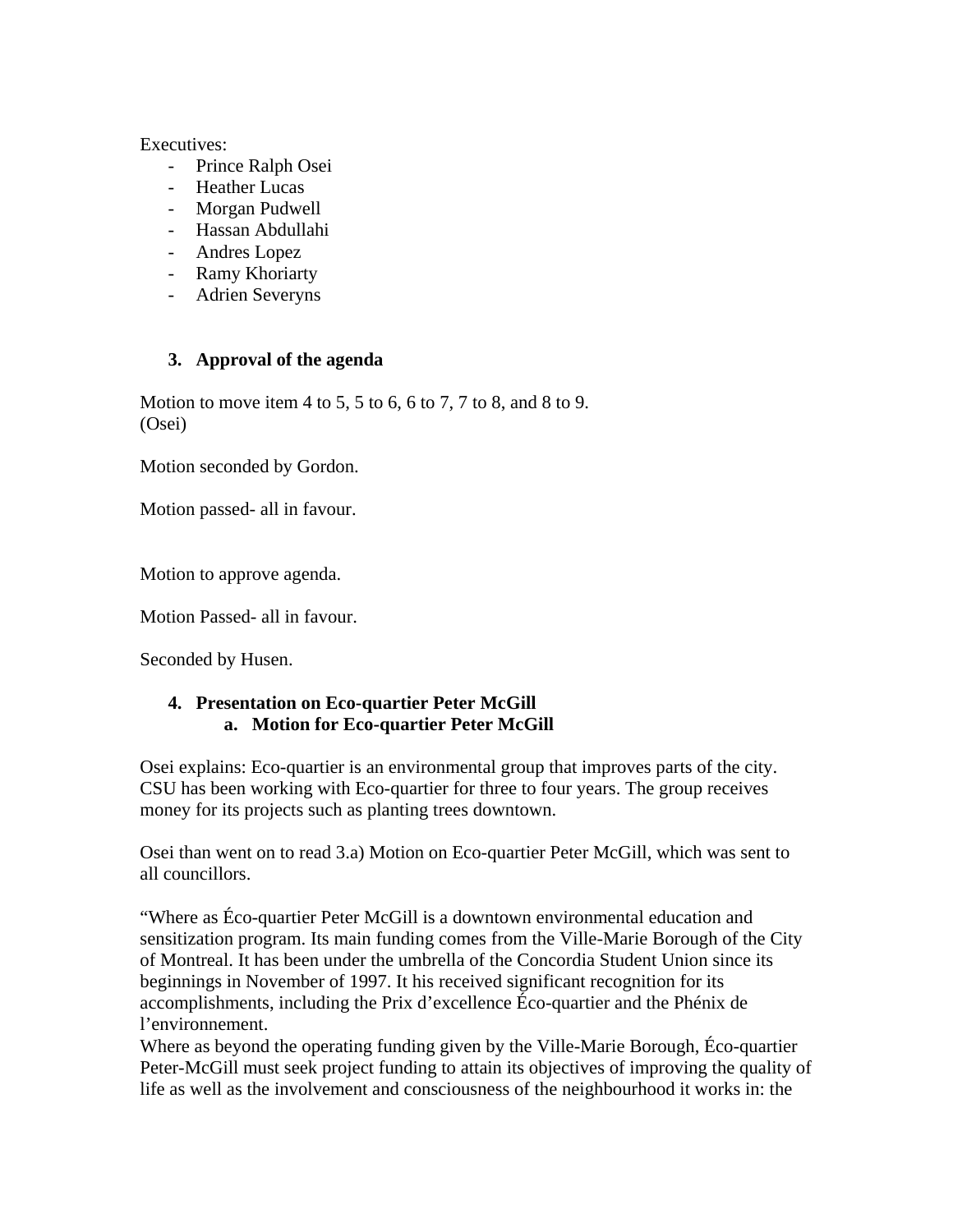#### Executives:

- Prince Ralph Osei
- Heather Lucas
- Morgan Pudwell
- Hassan Abdullahi
- Andres Lopez
- Ramy Khoriarty
- Adrien Severyns

### **3. Approval of the agenda**

Motion to move item 4 to 5, 5 to 6, 6 to 7, 7 to 8, and 8 to 9. (Osei)

Motion seconded by Gordon.

Motion passed- all in favour.

Motion to approve agenda.

Motion Passed- all in favour.

Seconded by Husen.

#### **4. Presentation on Eco-quartier Peter McGill a. Motion for Eco-quartier Peter McGill**

Osei explains: Eco-quartier is an environmental group that improves parts of the city. CSU has been working with Eco-quartier for three to four years. The group receives money for its projects such as planting trees downtown.

Osei than went on to read 3.a) Motion on Eco-quartier Peter McGill, which was sent to all councillors.

"Where as Éco-quartier Peter McGill is a downtown environmental education and sensitization program. Its main funding comes from the Ville-Marie Borough of the City of Montreal. It has been under the umbrella of the Concordia Student Union since its beginnings in November of 1997. It his received significant recognition for its accomplishments, including the Prix d'excellence Éco-quartier and the Phénix de l'environnement.

Where as beyond the operating funding given by the Ville-Marie Borough, Éco-quartier Peter-McGill must seek project funding to attain its objectives of improving the quality of life as well as the involvement and consciousness of the neighbourhood it works in: the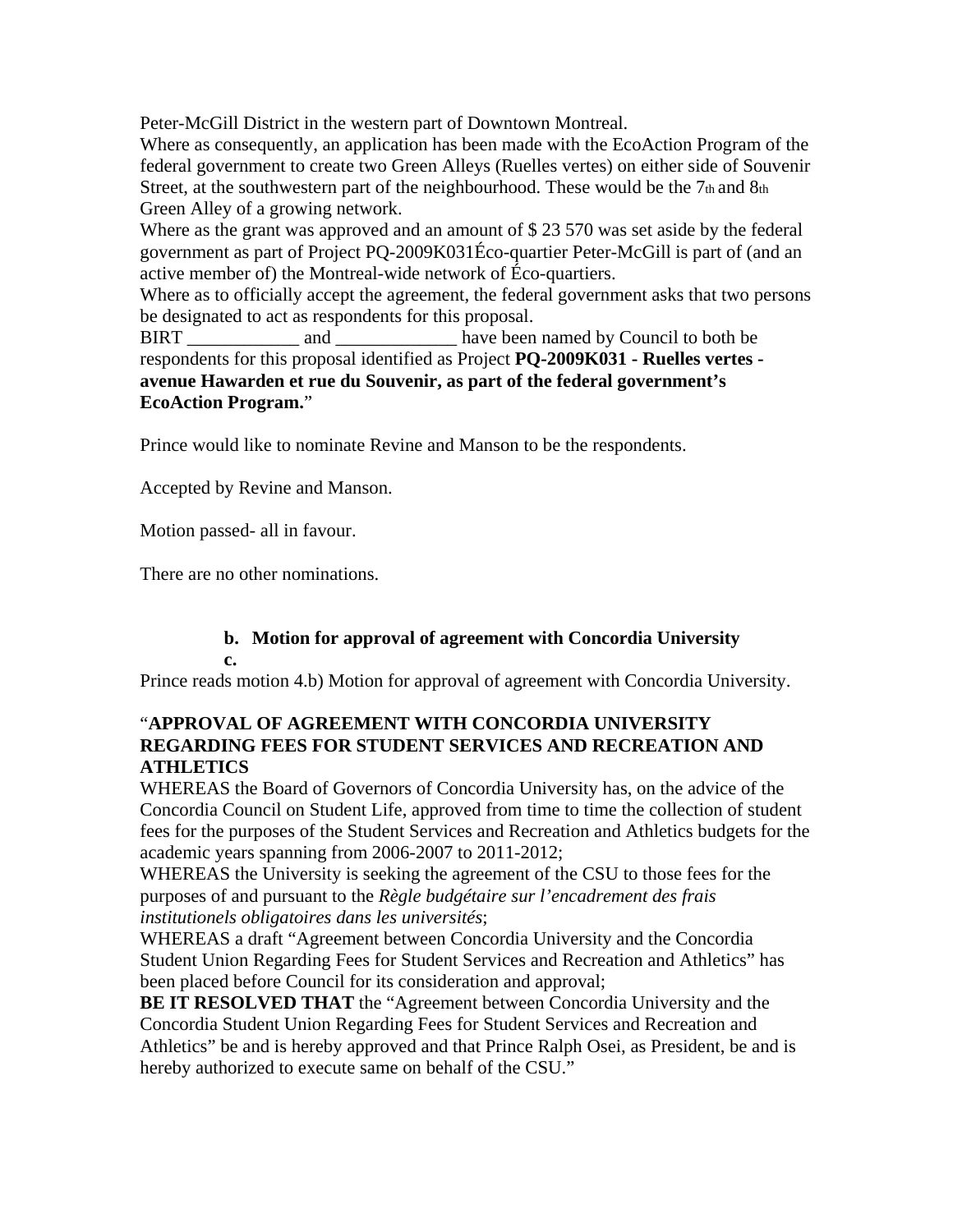Peter-McGill District in the western part of Downtown Montreal.

Where as consequently, an application has been made with the EcoAction Program of the federal government to create two Green Alleys (Ruelles vertes) on either side of Souvenir Street, at the southwestern part of the neighbourhood. These would be the  $7<sub>th</sub>$  and  $8<sub>th</sub>$ Green Alley of a growing network.

Where as the grant was approved and an amount of \$ 23 570 was set aside by the federal government as part of Project PQ-2009K031Éco-quartier Peter-McGill is part of (and an active member of) the Montreal-wide network of Éco-quartiers.

Where as to officially accept the agreement, the federal government asks that two persons be designated to act as respondents for this proposal.

BIRT and and have been named by Council to both be respondents for this proposal identified as Project **PQ-2009K031 - Ruelles vertes avenue Hawarden et rue du Souvenir, as part of the federal government's EcoAction Program.**"

Prince would like to nominate Revine and Manson to be the respondents.

Accepted by Revine and Manson.

Motion passed- all in favour.

There are no other nominations.

#### **b. Motion for approval of agreement with Concordia University c.**

Prince reads motion 4.b) Motion for approval of agreement with Concordia University.

### "**APPROVAL OF AGREEMENT WITH CONCORDIA UNIVERSITY REGARDING FEES FOR STUDENT SERVICES AND RECREATION AND ATHLETICS**

WHEREAS the Board of Governors of Concordia University has, on the advice of the Concordia Council on Student Life, approved from time to time the collection of student fees for the purposes of the Student Services and Recreation and Athletics budgets for the academic years spanning from 2006-2007 to 2011-2012;

WHEREAS the University is seeking the agreement of the CSU to those fees for the purposes of and pursuant to the *Règle budgétaire sur l'encadrement des frais institutionels obligatoires dans les universités*;

WHEREAS a draft "Agreement between Concordia University and the Concordia Student Union Regarding Fees for Student Services and Recreation and Athletics" has been placed before Council for its consideration and approval;

**BE IT RESOLVED THAT** the "Agreement between Concordia University and the Concordia Student Union Regarding Fees for Student Services and Recreation and Athletics" be and is hereby approved and that Prince Ralph Osei, as President, be and is hereby authorized to execute same on behalf of the CSU."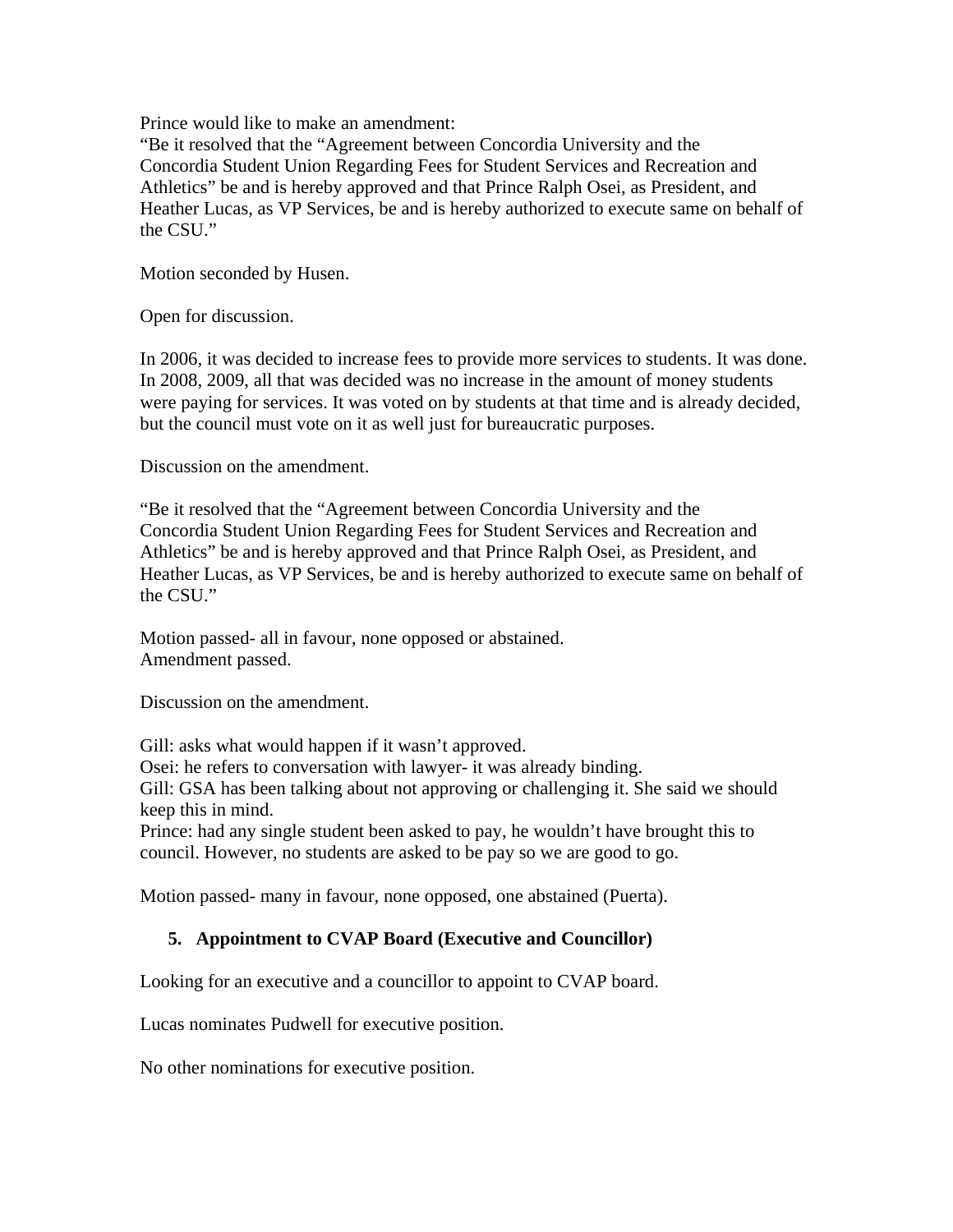Prince would like to make an amendment:

"Be it resolved that the "Agreement between Concordia University and the Concordia Student Union Regarding Fees for Student Services and Recreation and Athletics" be and is hereby approved and that Prince Ralph Osei, as President, and Heather Lucas, as VP Services, be and is hereby authorized to execute same on behalf of the CSU."

Motion seconded by Husen.

Open for discussion.

In 2006, it was decided to increase fees to provide more services to students. It was done. In 2008, 2009, all that was decided was no increase in the amount of money students were paying for services. It was voted on by students at that time and is already decided, but the council must vote on it as well just for bureaucratic purposes.

Discussion on the amendment.

"Be it resolved that the "Agreement between Concordia University and the Concordia Student Union Regarding Fees for Student Services and Recreation and Athletics" be and is hereby approved and that Prince Ralph Osei, as President, and Heather Lucas, as VP Services, be and is hereby authorized to execute same on behalf of the CSU."

Motion passed- all in favour, none opposed or abstained. Amendment passed.

Discussion on the amendment.

Gill: asks what would happen if it wasn't approved.

Osei: he refers to conversation with lawyer- it was already binding.

Gill: GSA has been talking about not approving or challenging it. She said we should keep this in mind.

Prince: had any single student been asked to pay, he wouldn't have brought this to council. However, no students are asked to be pay so we are good to go.

Motion passed- many in favour, none opposed, one abstained (Puerta).

### **5. Appointment to CVAP Board (Executive and Councillor)**

Looking for an executive and a councillor to appoint to CVAP board.

Lucas nominates Pudwell for executive position.

No other nominations for executive position.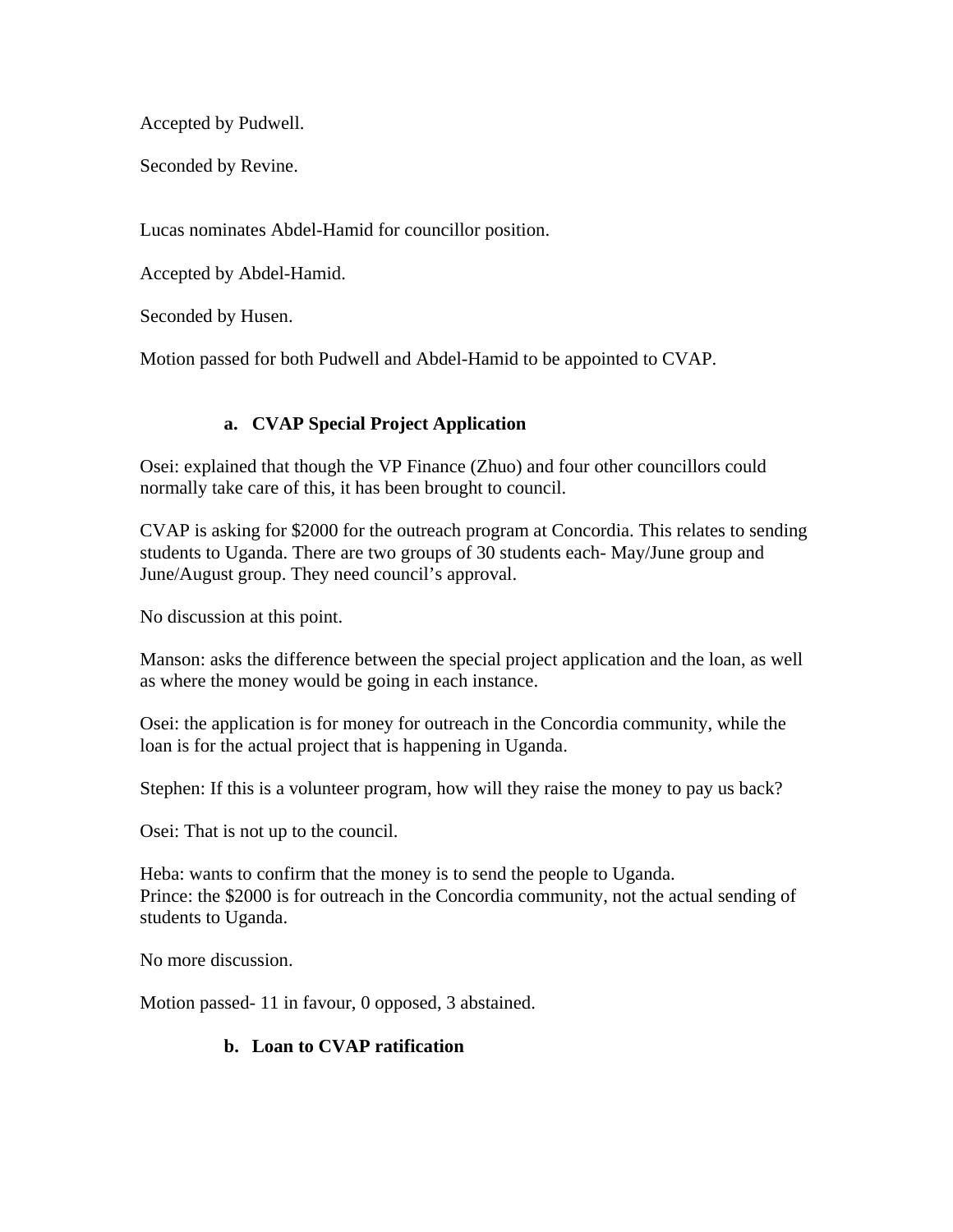Accepted by Pudwell.

Seconded by Revine.

Lucas nominates Abdel-Hamid for councillor position.

Accepted by Abdel-Hamid.

Seconded by Husen.

Motion passed for both Pudwell and Abdel-Hamid to be appointed to CVAP.

# **a. CVAP Special Project Application**

Osei: explained that though the VP Finance (Zhuo) and four other councillors could normally take care of this, it has been brought to council.

CVAP is asking for \$2000 for the outreach program at Concordia. This relates to sending students to Uganda. There are two groups of 30 students each- May/June group and June/August group. They need council's approval.

No discussion at this point.

Manson: asks the difference between the special project application and the loan, as well as where the money would be going in each instance.

Osei: the application is for money for outreach in the Concordia community, while the loan is for the actual project that is happening in Uganda.

Stephen: If this is a volunteer program, how will they raise the money to pay us back?

Osei: That is not up to the council.

Heba: wants to confirm that the money is to send the people to Uganda. Prince: the \$2000 is for outreach in the Concordia community, not the actual sending of students to Uganda.

No more discussion.

Motion passed- 11 in favour, 0 opposed, 3 abstained.

### **b. Loan to CVAP ratification**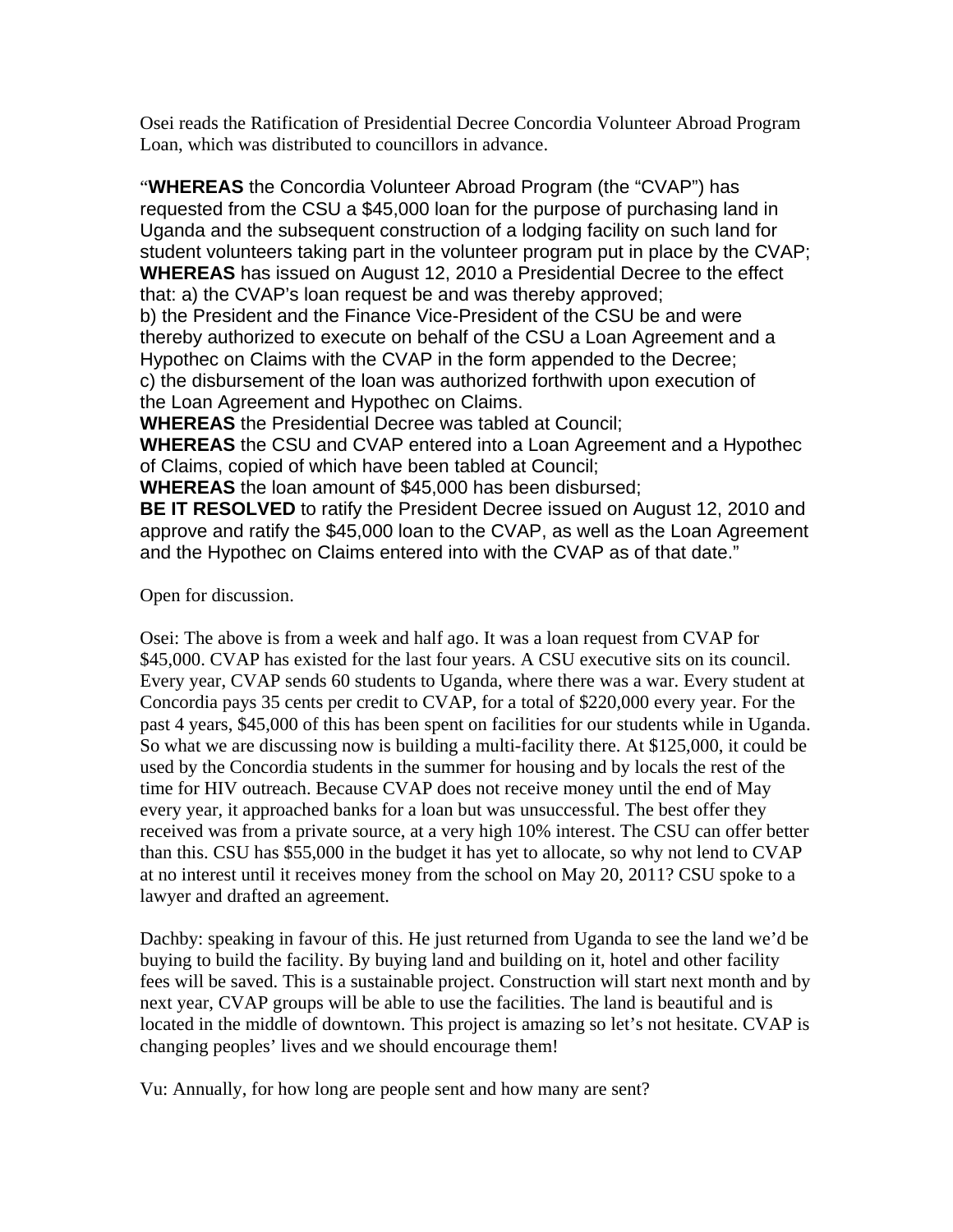Osei reads the Ratification of Presidential Decree Concordia Volunteer Abroad Program Loan, which was distributed to councillors in advance.

"**WHEREAS** the Concordia Volunteer Abroad Program (the "CVAP") has requested from the CSU a \$45,000 loan for the purpose of purchasing land in Uganda and the subsequent construction of a lodging facility on such land for student volunteers taking part in the volunteer program put in place by the CVAP; **WHEREAS** has issued on August 12, 2010 a Presidential Decree to the effect that: a) the CVAP's loan request be and was thereby approved; b) the President and the Finance Vice-President of the CSU be and were thereby authorized to execute on behalf of the CSU a Loan Agreement and a Hypothec on Claims with the CVAP in the form appended to the Decree; c) the disbursement of the loan was authorized forthwith upon execution of the Loan Agreement and Hypothec on Claims.

**WHEREAS** the Presidential Decree was tabled at Council;

**WHEREAS** the CSU and CVAP entered into a Loan Agreement and a Hypothec of Claims, copied of which have been tabled at Council;

**WHEREAS** the loan amount of \$45,000 has been disbursed;

**BE IT RESOLVED** to ratify the President Decree issued on August 12, 2010 and approve and ratify the \$45,000 loan to the CVAP, as well as the Loan Agreement and the Hypothec on Claims entered into with the CVAP as of that date."

Open for discussion.

Osei: The above is from a week and half ago. It was a loan request from CVAP for \$45,000. CVAP has existed for the last four years. A CSU executive sits on its council. Every year, CVAP sends 60 students to Uganda, where there was a war. Every student at Concordia pays 35 cents per credit to CVAP, for a total of \$220,000 every year. For the past 4 years, \$45,000 of this has been spent on facilities for our students while in Uganda. So what we are discussing now is building a multi-facility there. At \$125,000, it could be used by the Concordia students in the summer for housing and by locals the rest of the time for HIV outreach. Because CVAP does not receive money until the end of May every year, it approached banks for a loan but was unsuccessful. The best offer they received was from a private source, at a very high 10% interest. The CSU can offer better than this. CSU has \$55,000 in the budget it has yet to allocate, so why not lend to CVAP at no interest until it receives money from the school on May 20, 2011? CSU spoke to a lawyer and drafted an agreement.

Dachby: speaking in favour of this. He just returned from Uganda to see the land we'd be buying to build the facility. By buying land and building on it, hotel and other facility fees will be saved. This is a sustainable project. Construction will start next month and by next year, CVAP groups will be able to use the facilities. The land is beautiful and is located in the middle of downtown. This project is amazing so let's not hesitate. CVAP is changing peoples' lives and we should encourage them!

Vu: Annually, for how long are people sent and how many are sent?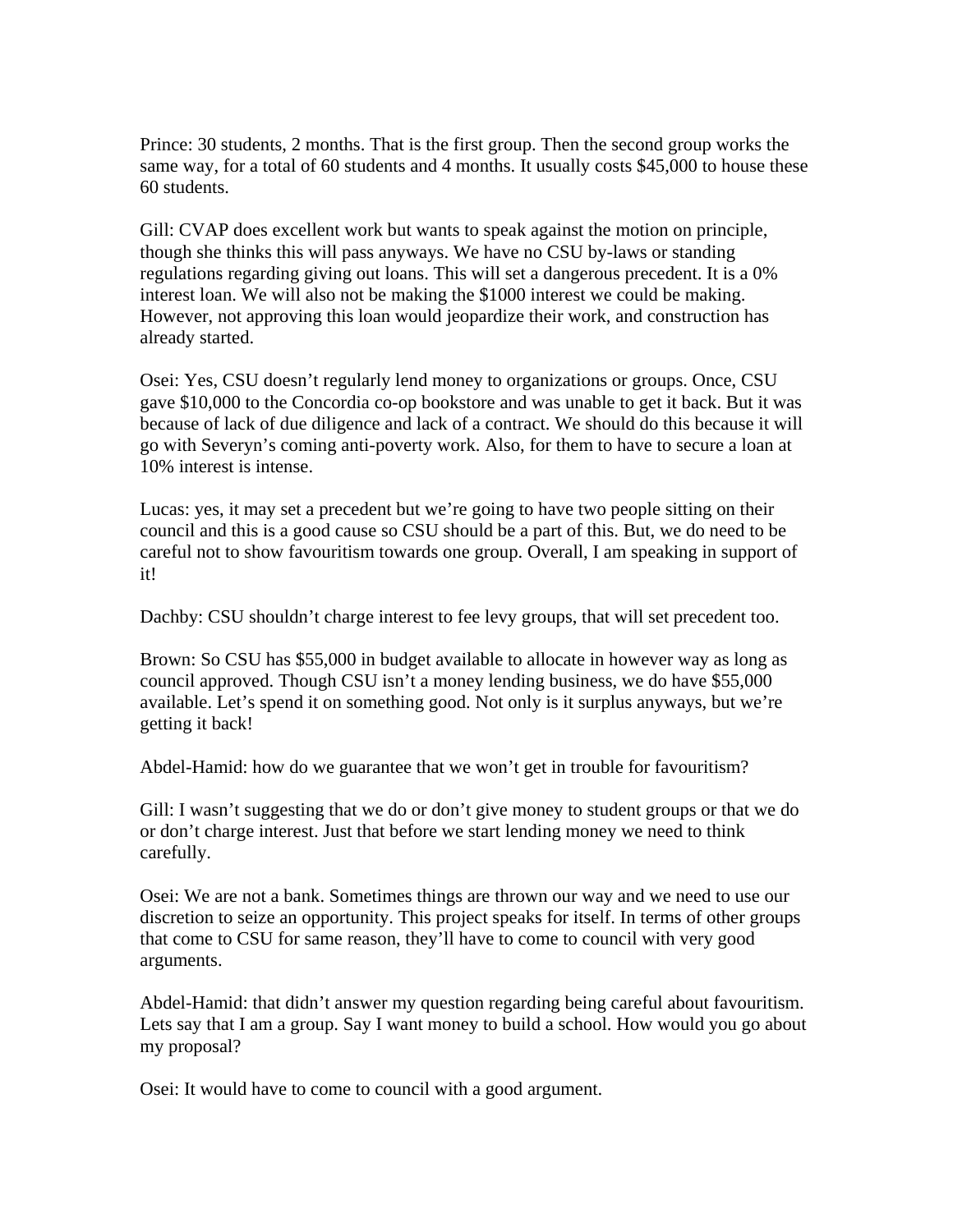Prince: 30 students, 2 months. That is the first group. Then the second group works the same way, for a total of 60 students and 4 months. It usually costs \$45,000 to house these 60 students.

Gill: CVAP does excellent work but wants to speak against the motion on principle, though she thinks this will pass anyways. We have no CSU by-laws or standing regulations regarding giving out loans. This will set a dangerous precedent. It is a 0% interest loan. We will also not be making the \$1000 interest we could be making. However, not approving this loan would jeopardize their work, and construction has already started.

Osei: Yes, CSU doesn't regularly lend money to organizations or groups. Once, CSU gave \$10,000 to the Concordia co-op bookstore and was unable to get it back. But it was because of lack of due diligence and lack of a contract. We should do this because it will go with Severyn's coming anti-poverty work. Also, for them to have to secure a loan at 10% interest is intense.

Lucas: yes, it may set a precedent but we're going to have two people sitting on their council and this is a good cause so CSU should be a part of this. But, we do need to be careful not to show favouritism towards one group. Overall, I am speaking in support of it!

Dachby: CSU shouldn't charge interest to fee levy groups, that will set precedent too.

Brown: So CSU has \$55,000 in budget available to allocate in however way as long as council approved. Though CSU isn't a money lending business, we do have \$55,000 available. Let's spend it on something good. Not only is it surplus anyways, but we're getting it back!

Abdel-Hamid: how do we guarantee that we won't get in trouble for favouritism?

Gill: I wasn't suggesting that we do or don't give money to student groups or that we do or don't charge interest. Just that before we start lending money we need to think carefully.

Osei: We are not a bank. Sometimes things are thrown our way and we need to use our discretion to seize an opportunity. This project speaks for itself. In terms of other groups that come to CSU for same reason, they'll have to come to council with very good arguments.

Abdel-Hamid: that didn't answer my question regarding being careful about favouritism. Lets say that I am a group. Say I want money to build a school. How would you go about my proposal?

Osei: It would have to come to council with a good argument.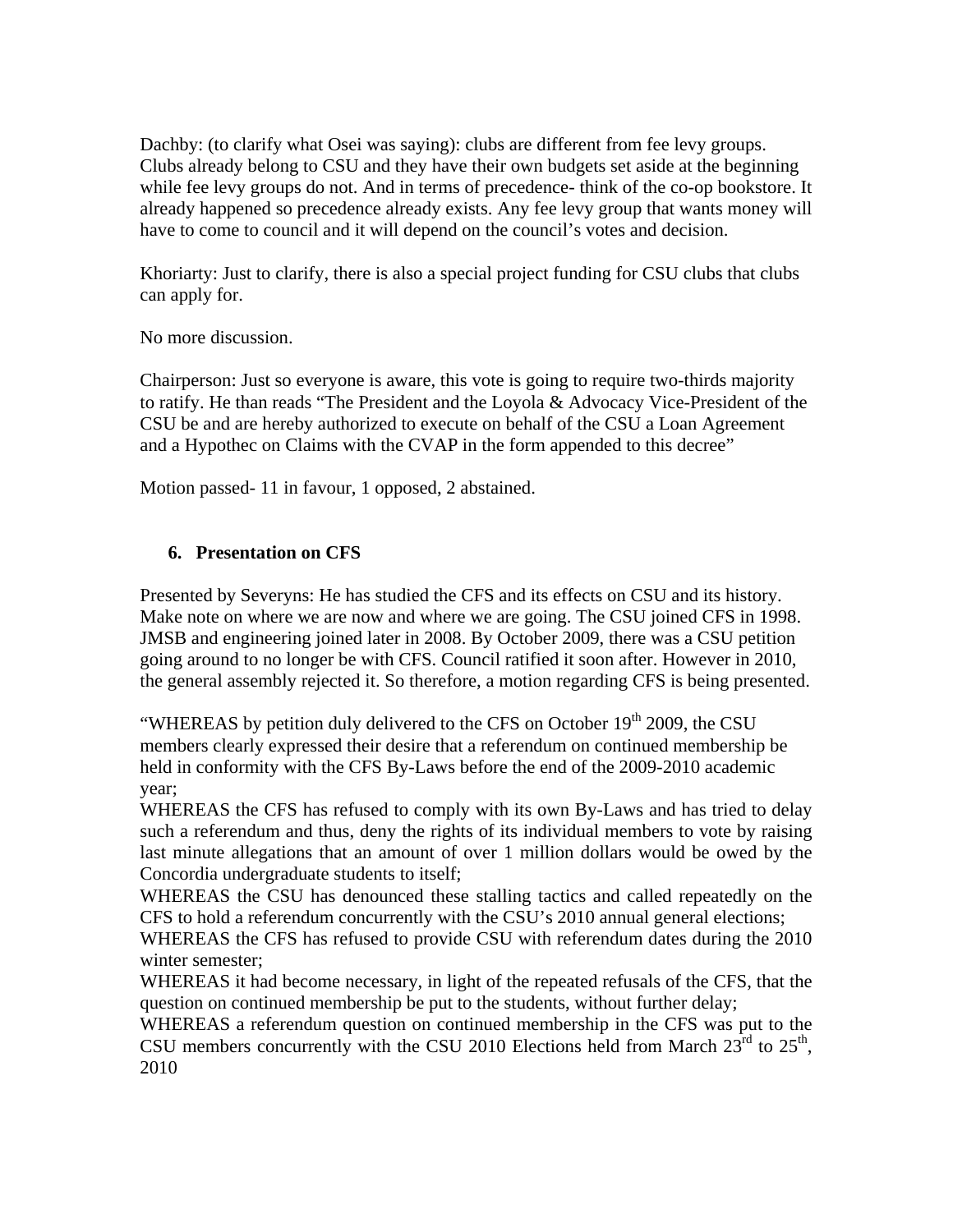Dachby: (to clarify what Osei was saying): clubs are different from fee levy groups. Clubs already belong to CSU and they have their own budgets set aside at the beginning while fee levy groups do not. And in terms of precedence- think of the co-op bookstore. It already happened so precedence already exists. Any fee levy group that wants money will have to come to council and it will depend on the council's votes and decision.

Khoriarty: Just to clarify, there is also a special project funding for CSU clubs that clubs can apply for.

No more discussion.

Chairperson: Just so everyone is aware, this vote is going to require two-thirds majority to ratify. He than reads "The President and the Loyola & Advocacy Vice-President of the CSU be and are hereby authorized to execute on behalf of the CSU a Loan Agreement and a Hypothec on Claims with the CVAP in the form appended to this decree"

Motion passed- 11 in favour, 1 opposed, 2 abstained.

### **6. Presentation on CFS**

Presented by Severyns: He has studied the CFS and its effects on CSU and its history. Make note on where we are now and where we are going. The CSU joined CFS in 1998. JMSB and engineering joined later in 2008. By October 2009, there was a CSU petition going around to no longer be with CFS. Council ratified it soon after. However in 2010, the general assembly rejected it. So therefore, a motion regarding CFS is being presented.

"WHEREAS by petition duly delivered to the CFS on October  $19<sup>th</sup>$  2009, the CSU members clearly expressed their desire that a referendum on continued membership be held in conformity with the CFS By-Laws before the end of the 2009-2010 academic year;

WHEREAS the CFS has refused to comply with its own By-Laws and has tried to delay such a referendum and thus, deny the rights of its individual members to vote by raising last minute allegations that an amount of over 1 million dollars would be owed by the Concordia undergraduate students to itself;

WHEREAS the CSU has denounced these stalling tactics and called repeatedly on the CFS to hold a referendum concurrently with the CSU's 2010 annual general elections;

WHEREAS the CFS has refused to provide CSU with referendum dates during the 2010 winter semester;

WHEREAS it had become necessary, in light of the repeated refusals of the CFS, that the question on continued membership be put to the students, without further delay;

WHEREAS a referendum question on continued membership in the CFS was put to the CSU members concurrently with the CSU 2010 Elections held from March  $23^{\text{rd}}$  to  $25^{\text{th}}$ , 2010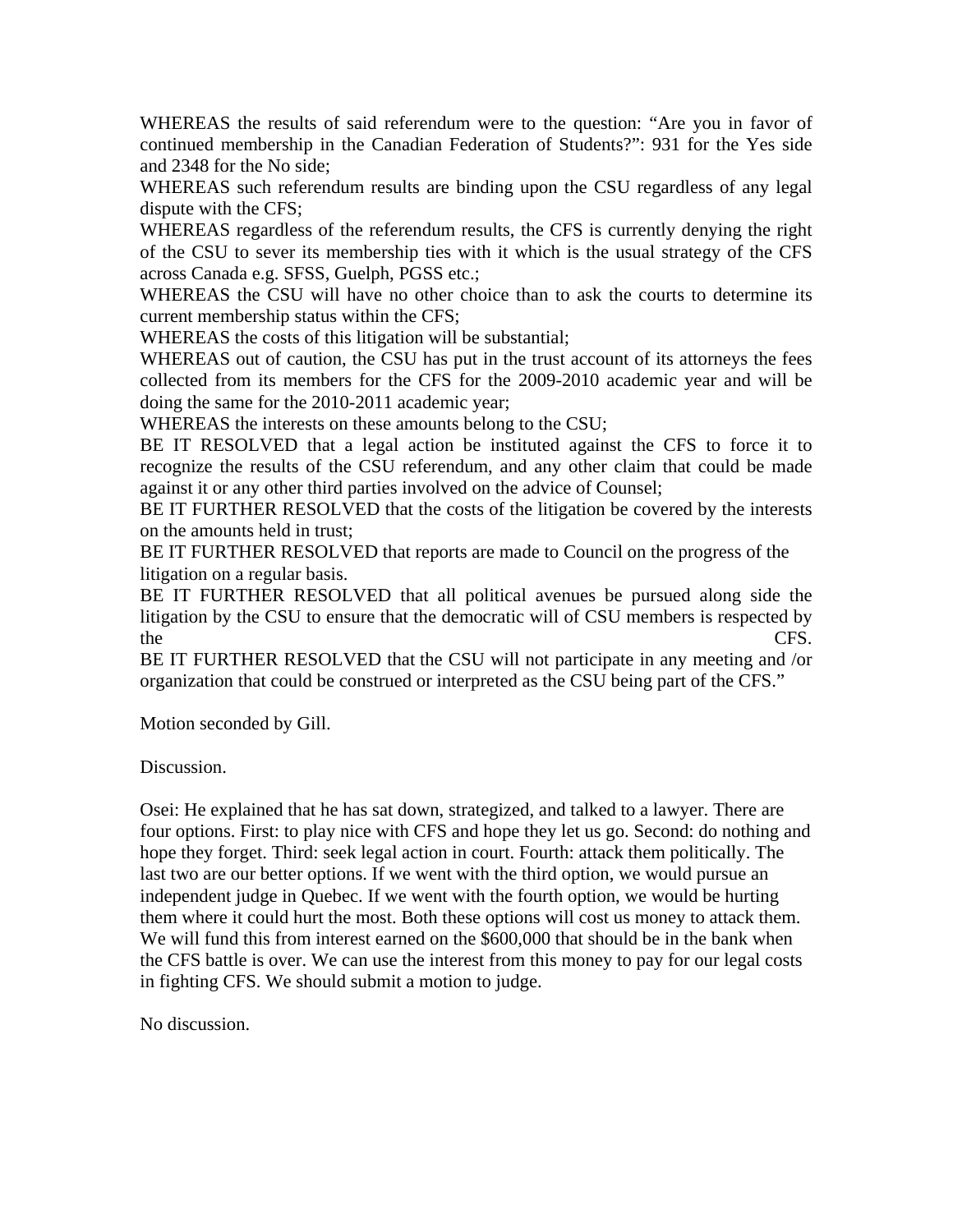WHEREAS the results of said referendum were to the question: "Are you in favor of continued membership in the Canadian Federation of Students?": 931 for the Yes side and 2348 for the No side;

WHEREAS such referendum results are binding upon the CSU regardless of any legal dispute with the CFS;

WHEREAS regardless of the referendum results, the CFS is currently denying the right of the CSU to sever its membership ties with it which is the usual strategy of the CFS across Canada e.g. SFSS, Guelph, PGSS etc.;

WHEREAS the CSU will have no other choice than to ask the courts to determine its current membership status within the CFS;

WHEREAS the costs of this litigation will be substantial;

WHEREAS out of caution, the CSU has put in the trust account of its attorneys the fees collected from its members for the CFS for the 2009-2010 academic year and will be doing the same for the 2010-2011 academic year;

WHEREAS the interests on these amounts belong to the CSU;

BE IT RESOLVED that a legal action be instituted against the CFS to force it to recognize the results of the CSU referendum, and any other claim that could be made against it or any other third parties involved on the advice of Counsel;

BE IT FURTHER RESOLVED that the costs of the litigation be covered by the interests on the amounts held in trust;

BE IT FURTHER RESOLVED that reports are made to Council on the progress of the litigation on a regular basis.

BE IT FURTHER RESOLVED that all political avenues be pursued along side the litigation by the CSU to ensure that the democratic will of CSU members is respected by the CFS.

BE IT FURTHER RESOLVED that the CSU will not participate in any meeting and /or organization that could be construed or interpreted as the CSU being part of the CFS."

Motion seconded by Gill.

Discussion.

Osei: He explained that he has sat down, strategized, and talked to a lawyer. There are four options. First: to play nice with CFS and hope they let us go. Second: do nothing and hope they forget. Third: seek legal action in court. Fourth: attack them politically. The last two are our better options. If we went with the third option, we would pursue an independent judge in Quebec. If we went with the fourth option, we would be hurting them where it could hurt the most. Both these options will cost us money to attack them. We will fund this from interest earned on the \$600,000 that should be in the bank when the CFS battle is over. We can use the interest from this money to pay for our legal costs in fighting CFS. We should submit a motion to judge.

No discussion.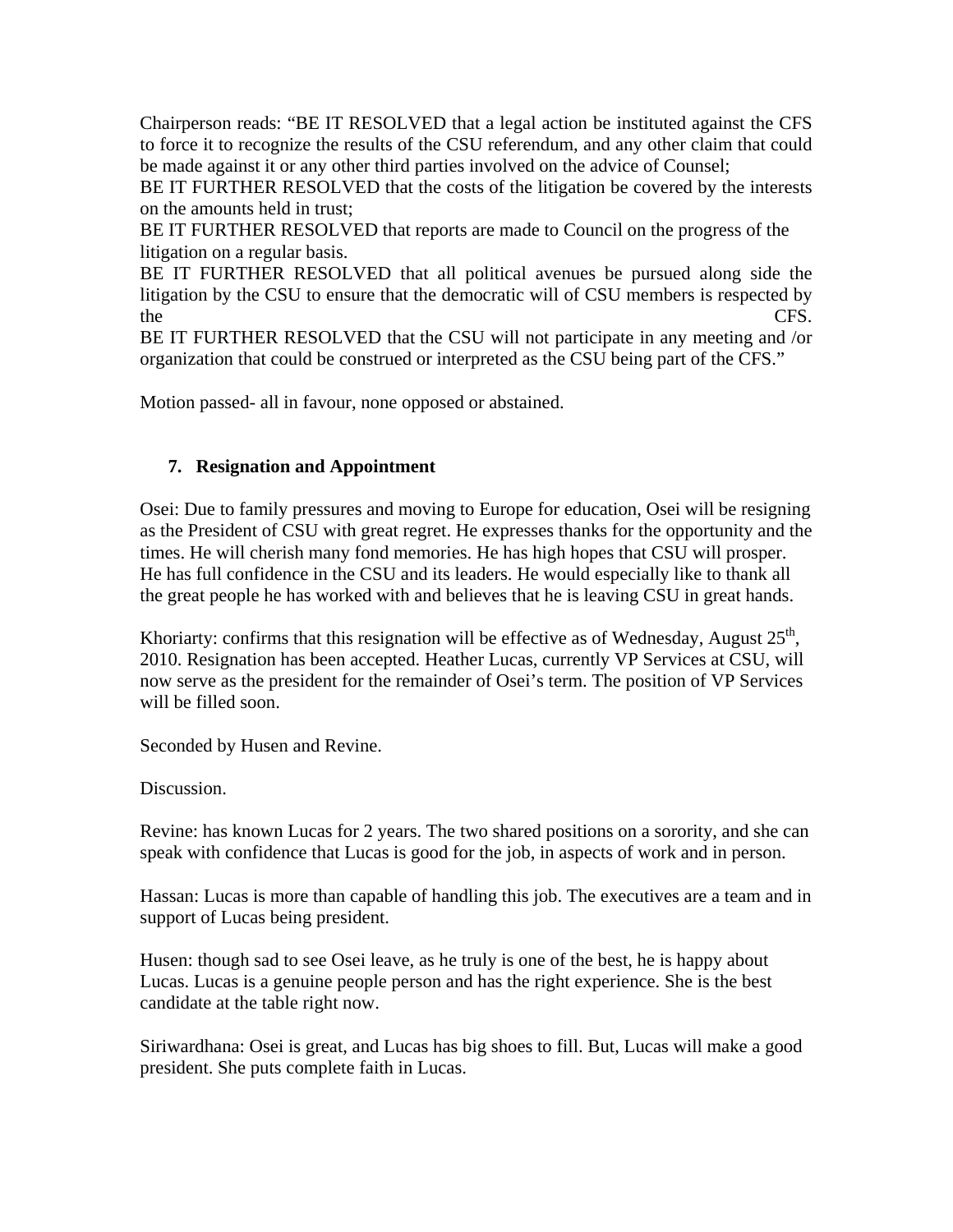Chairperson reads: "BE IT RESOLVED that a legal action be instituted against the CFS to force it to recognize the results of the CSU referendum, and any other claim that could be made against it or any other third parties involved on the advice of Counsel;

BE IT FURTHER RESOLVED that the costs of the litigation be covered by the interests on the amounts held in trust;

BE IT FURTHER RESOLVED that reports are made to Council on the progress of the litigation on a regular basis.

BE IT FURTHER RESOLVED that all political avenues be pursued along side the litigation by the CSU to ensure that the democratic will of CSU members is respected by the CFS.

BE IT FURTHER RESOLVED that the CSU will not participate in any meeting and /or organization that could be construed or interpreted as the CSU being part of the CFS."

Motion passed- all in favour, none opposed or abstained.

### **7. Resignation and Appointment**

Osei: Due to family pressures and moving to Europe for education, Osei will be resigning as the President of CSU with great regret. He expresses thanks for the opportunity and the times. He will cherish many fond memories. He has high hopes that CSU will prosper. He has full confidence in the CSU and its leaders. He would especially like to thank all the great people he has worked with and believes that he is leaving CSU in great hands.

Khoriarty: confirms that this resignation will be effective as of Wednesday, August  $25<sup>th</sup>$ , 2010. Resignation has been accepted. Heather Lucas, currently VP Services at CSU, will now serve as the president for the remainder of Osei's term. The position of VP Services will be filled soon.

Seconded by Husen and Revine.

Discussion.

Revine: has known Lucas for 2 years. The two shared positions on a sorority, and she can speak with confidence that Lucas is good for the job, in aspects of work and in person.

Hassan: Lucas is more than capable of handling this job. The executives are a team and in support of Lucas being president.

Husen: though sad to see Osei leave, as he truly is one of the best, he is happy about Lucas. Lucas is a genuine people person and has the right experience. She is the best candidate at the table right now.

Siriwardhana: Osei is great, and Lucas has big shoes to fill. But, Lucas will make a good president. She puts complete faith in Lucas.